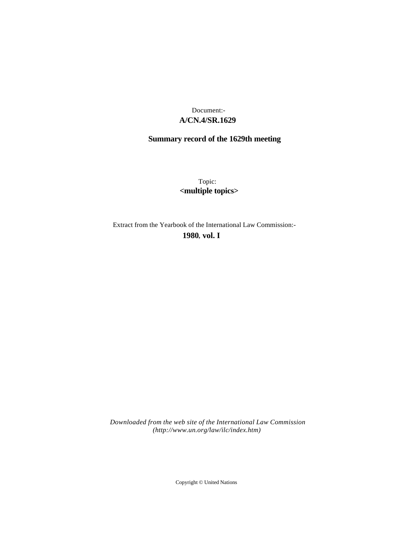## **A/CN.4/SR.1629** Document:-

# **Summary record of the 1629th meeting**

Topic: **<multiple topics>**

Extract from the Yearbook of the International Law Commission:-

**1980** , **vol. I**

*Downloaded from the web site of the International Law Commission (http://www.un.org/law/ilc/index.htm)*

Copyright © United Nations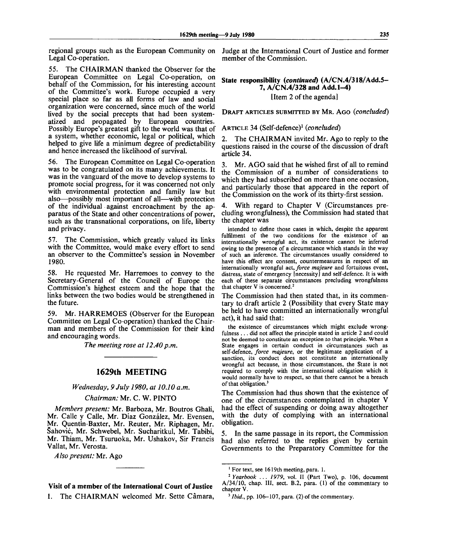regional groups such as the European Community on Judge at the International Court of Justice and former Legal Co-operation.

55. The CHAIRMAN thanked the Observer for the European Committee on Legal Co-operation, on behalf of the Commission, for his interesting account of the Committee's work. Europe occupied a very special place so far as all forms of law and social organization were concerned, since much of the world lived by the social precepts that had been systematized and propagated by European countries. Possibly Europe's greatest gift to the world was that of a system, whether economic, legal or political, which helped to give life a minimum degree of predictability and hence increased the likelihood of survival.

56. The European Committee on Legal Co-operation was to be congratulated on its many achievements. It was in the vanguard of the move to develop systems to promote social progress, for it was concerned not only with environmental protection and family law but also—possibly most important of all—with protection of the individual against encroachment by the apparatus of the State and other concentrations of power, such as the transnational corporations, on life, liberty and privacy.

57. The Commission, which greatly valued its links with the Committee, would make every effort to send an observer to the Committee's session in November 1980.

58. He requested Mr. Harremoes to convey to the Secretary-General of the Council of Europe the Commission's highest esteem and the hope that the links between the two bodies would be strengthened in the future.

59. Mr. HARREMOES (Observer for the European Committee on Legal Co-operation) thanked the Chairman and members of the Commission for their kind and encouraging words.

*The meeting rose at 12.40 p.m.* 

## **1629th MEETING**

#### *Wednesday, 9 July 1980, at 10.10 a.m.*

#### *Chairman:* Mr. C. W. PINTO

*Members present:* Mr. Barboza, Mr. Boutros Ghali, Mr. Calle y Calle, Mr. Díaz González, Mr. Evensen, Mr. Quentin-Baxter, Mr. Reuter, Mr. Riphagen, Mr. Sahovic, Mr. Schwebel, Mr. Sucharitkul, Mr. Tabibi, Mr. Thiam, Mr. Tsuruoka, Mr. Ushakov, Sir Francis Vallat, Mr. Verosta.

*Also present:* Mr. Ago

### Visit of a member of the International Court of Justice

1. The CHAIRMAN welcomed Mr. Sette Câmara,

member of the Commission.

State responsibility *{continued)* (A/CN.4/318/Add.5- 7, A/CN.4/328 and Add. 1-4) [Item 2 of the agenda]

DRAFT ARTICLES SUBMITTED BY MR. AGO *{concluded)*

ARTICLE 34 (Self-defence)<sup>1</sup>  *{concluded)*

2. The CHAIRMAN invited Mr. Ago to reply to the questions raised in the course of the discussion of draft article 34.

3. Mr. AGO said that he wished first of all to remind the Commission of a number of considerations to which they had subscribed on more than one occasion, and particularly those that appeared in the report of the Commission on the work of its thirty-first session.

4. With regard to Chapter V (Circumstances precluding wrongfulness), the Commission had stated that the chapter was

intended to define those cases in which, despite the apparent fulfilment of the two conditions for the existence of an internationally wrongful act, its existence cannot be inferred owing to the presence of a circumstance which stands in the way of such an inference. The circumstances usually considered to have this effect are consent, countermeasures in respect of an internationally wrongful *act, force majeure* and fortuitous event, distress, state of emergency [necessity] and self-defence. It is with each of these separate circumstances precluding wrongfulness that chapter V is concerned.<sup>2</sup>

The Commission had then stated that, in its commentary to draft article 2 (Possibility that every State may be held to have committed an internationally wrongful act), it had said that:

the existence of circumstances which might exclude wrongfulness .. . did not affect the principle stated in article 2 and could not be deemed to constitute an exception to that principle. When a State engages in certain conduct in circumstances such as self-defence, *force majeure,* or the legitimate application of a sanction, its conduct does not constitute an internationally wrongful act because, in those circumstances, the State is not required to comply with the international obligation which it would normally have to respect, so that there cannot be a breach of that obligation.<sup>3</sup>

The Commission had thus shown that the existence of one of the circumstances contemplated in chapter V had the effect of suspending or doing away altogether with the duty of complying with an international obligation.

5. In the same passage in its report, the Commission had also referred to the replies given by certain Governments to the Preparatory Committee for the

<sup>&</sup>lt;sup>1</sup> For text, see 1619th meeting, para. 1.

<sup>2</sup>  *Yearbook ... 1979,* vol. II (Part Two), p. 106, document A/34/10, chap. **Ill,** sect. B.2, para. (1) of the commentary to chapter V.

<sup>&</sup>lt;sup>3</sup> Ibid., pp. 106-107, para. (2) of the commentary.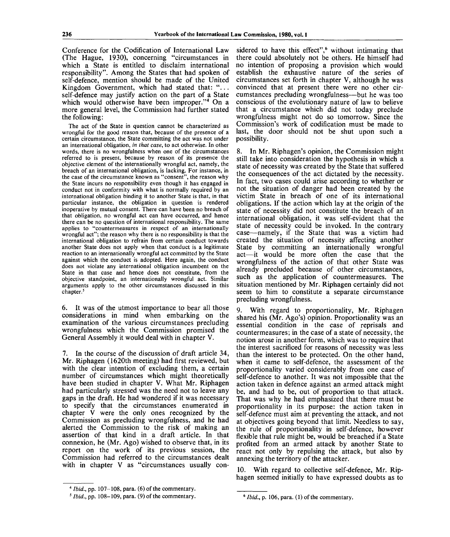Conference for the Codification of International Law (The Hague, 1930), concerning "circumstances in which a State is entitled to disclaim international responsibility". Among the States that had spoken of self-defence, mention should be made of the United Kingdom Government, which had stated that: "... self-defence may justify action on the part of a State which would otherwise have been improper."<sup>4</sup> On a more general level, the Commission had further stated the following:

The act of the State in question cannot be characterized as wrongful for the good reason that, because of the presence of a certain circumstance, the State committing the act was not under an international obligation, *in that case,* to act otherwise. In other words, there is no wrongfulness when one of the circumstances referred to is present, because by reason of its presence the objective element of the internationally wrongful act, namely, the breach of an international obligation, is lacking. For instance, in the case of the circumstance known as "consent", the reason why the State incurs no responsibility even though it has engaged in conduct not in conformity with what is normally required by an international obligation binding it to another State is that, in that particular instance, the obligation in question is rendered inoperative by mutual consent. There can have been no breach of that obligation, no wrongful act can have occurred, and hence there can be no question of international responsibility. The same applies to "countermeasures in respect of an internationally wrongful act"; the reason why there is no responsibility is that the international obligation to refrain from certain conduct towards another State does not apply when that conduct is a legitimate reaction to an internationally wrongful act committed by the State against which the conduct is adopted. Here again, the conduct does not violate any international obligation incumbent on the State in that case and hence does not constitute, from the objective standpoint, an internationally wrongful act. Similar arguments apply to the other circumstances discussed in this chapter.<sup>5</sup>

6. It was of the utmost importance to bear all those considerations in mind when embarking on the examination of the various circumstances precluding wrongfulness which the Commission promised the General Assembly it would deal with in chapter V.

7. In the course of the discussion of draft article 34, Mr. Riphagen (1620th meeting) had first reviewed, but with the clear intention of excluding them, a certain number of circumstances which might theoretically have been studied in chapter V. What Mr. Riphagen had particularly stressed was the need not to leave any gaps in the draft. He had wondered if it was necessary to specify that the circumstances enumerated in chapter V were the only ones recognized by the Commission as precluding wrongfulness, and he had alerted the Commission to the risk of making an assertion of that kind in a draft article. In that connexion, he (Mr. Ago) wished to observe that, in its report on the work of its previous session, the Commission had referred to the circumstances dealt with in chapter V as "circumstances usually con-

sidered to have this effect",<sup>6</sup> without intimating that there could absolutely not be others. He himself had no intention of proposing a provision which would establish the exhaustive nature of the series of circumstances set forth in chapter V, although he was convinced that at present there were no other circumstances precluding wrongfulness—but he was too conscious of the evolutionary nature of law to believe that a circumstance which did not today preclude wrongfulness might not do so tomorrow. Since the Commission's work of codification must be made to last, the door should not be shut upon such a possibility.

8. In Mr. Riphagen's opinion, the Commission might still take into consideration the hypothesis in which a state of necessity was created by the State that suffered the consequences of the act dictated by the necessity. In fact, two cases could arise according to whether or not the situation of danger had been created by the victim State in breach of one of its international obligations. If the action which lay at the origin of the state of necessity did not constitute the breach of an international obligation, it was self-evident that the state of necessity could be invoked. In the contrary case—namely, if the State that was a victim had created the situation of necessity affecting another State by committing an internationally wrongful act—it would be more often the case that the wrongfulness of the action of that other State was already precluded because of other circumstances, such as the application of countermeasures. The situation mentioned by Mr. Riphagen certainly did not seem to him to constitute a separate circumstance precluding wrongfulness.

9. With regard to proportionality, Mr. Riphagen shared his (Mr. Ago's) opinion. Proportionality was an essential condition in the case of reprisals and countermeasures; in the case of a state of necessity, the notion arose in another form, which was to require that the interest sacrificed for reasons of necessity was less than the interest to be protected. On the other hand, when it came to self-defence, the assessment of the proportionality varied considerably from one case of self-defence to another. It was not impossible that the action taken in defence against an armed attack might be, and had to be, out of proportion to that attack. That was why he had emphasized that there must be proportionality in its purpose: the action taken in self-defence must aim at preventing the attack, and not at objectives going beyond that limit. Needless to say, the rule of proportionality in self-defence, however flexible that rule might be, would be breached if a State profited from an armed attack by another State to react not only by repulsing the attack, but also by annexing the territory of the attacker.

10. With regard to collective self-defence, Mr. Riphagen seemed initially to have expressed doubts as to

<sup>4</sup>  *Ibid.,* pp. 107-108, para. (6) of the commentary.

<sup>5</sup>  *Ibid.,* pp. 108-109, para. (9) of the commentary.

<sup>&</sup>lt;sup>5</sup> *Ibid.*, p. 106, para. (1) of the commentary.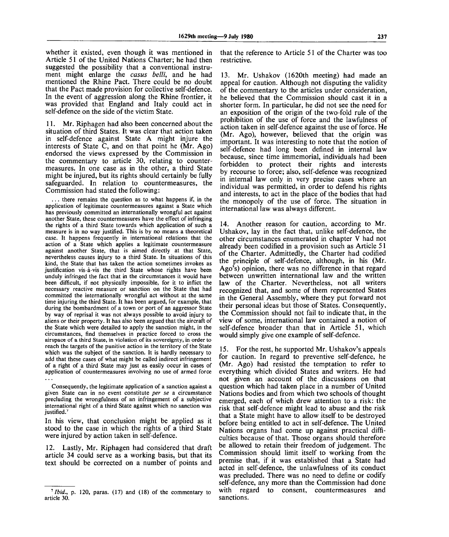whether it existed, even though it was mentioned in Article 51 of the United Nations Charter; he had then suggested the possibility that a conventional instrument might enlarge the *casus belli,* and he had mentioned the Rhine Pact. There could be no doubt that the Pact made provision for collective self-defence. In the event of aggression along the Rhine frontier, it was provided that England and Italy could act in self-defence on the side of the victim State.

11. Mr. Riphagen had also been concerned about the situation of third States. It was clear that action taken in self-defence against State A might injure the interests of State C, and on that point he (Mr. Ago) endorsed the views expressed by the Commission in the commentary to article 30, relating to countermeasures. In one case as in the other, a third State might be injured, but its rights should certainly be fully safeguarded. In relation to countermeasures, the Commission had stated the following:

. there remains the question as to what happens if, in the application of legitimate countermeasures against a State which has previously committed an internationally wrongful act against another State, these countermeasures have the effect of infringing the rights of a third State towards which application of such a measure is in no way justified. This is by no means a theoretical case. It happens frequently in international relations that the action of a State which applies a legitimate countermeasure against another State, that is aimed directly at that State, nevertheless causes injury to a third State. In situations of this kind, the State that has taken the action sometimes invokes as justification vis-a-vis the third State whose rights have been unduly infringed the fact that in the circumstances it would have been difficult, if not physically impossible, for it to inflict the necessary reactive measure or sanction on the State that had committed the internationally wrongful act without at the same time injuring the third State. It has been argued, for example, that during the bombardment of a town or port of an aggressor State by way of reprisal it was not always possible to avoid injury to aliens or their property. It has also been argued that the aircraft of the State which were detailed to apply the sanction might, in the circumstances, find themselves in practice forced to cross the airspace of a third State, in violation of its sovereignty, in order to reach the targets of the punitive action in the territory of the State which was the subject of the sanction. It is hardly necessary to add that these cases of what might be called indirect infringement of a right of a third State may just as easily occur in cases of application of countermeasures involving no use of armed force

Consequently, the legitimate application of a sanction against a given State can in no event constitute *per se* a circumstance precluding the wrongfulness of an infringement of a subjective international right of a third State against which no sanction was justified.<sup>7</sup>

In his view, that conclusion might be applied as it stood to the case in which the rights of a third State were injured by action taken in self-defence.

12. Lastly, Mr. Riphagen had considered that draft article 34 could serve as a working basis, but that its text should be corrected on a number of points and that the reference to Article 51 of the Charter was too restrictive.

13. Mr. Ushakov (1620th meeting) had made an appeal for caution. Although not disputing the validity of the commentary to the articles under consideration, he believed that the Commission should cast it in a shorter form. In particular, he did not see the need for an exposition of the origin of the two-fold rule of the prohibition of the use of force and the lawfulness of action taken in self-defence against the use of force. He (Mr. Ago), however, believed that the origin was important. It was interesting to note that the notion of self-defence had long been defined in internal law because, since time immemorial, individuals had been forbidden to protect their rights and interests by recourse to force; also, self-defence was recognized in internal law only in very precise cases where an individual was permitted, in order to defend his rights and interests, to act in the place of the bodies that had the monopoly of the use of force. The situation in international law was always different.

14. Another reason for caution, according to Mr. Ushakov, lay in the fact that, unlike self-defence, the other circumstances enumerated in chapter V had not already been codified in a provision such as Article 51 of the Charter. Admittedly, the Charter had codified the principle of self-defence, although, in his (Mr. Ago's) opinion, there was no difference in that regard between unwritten international law and the written law of the Charter. Nevertheless, not all writers recognized that, and some of them represented States in the General Assembly, where they put forward not their personal ideas but those of States. Consequently, the Commission should not fail to indicate that, in the view of some, international law contained a notion of self-defence broader than that in Article 51, which would simply give one example of self-defence.

15. For the rest, he supported Mr. Ushakov's appeals for caution. In regard to preventive self-defence, he (Mr. Ago) had resisted the temptation to refer to everything which divided States and writers. He had not given an account of the discussions on that question which had taken place in a number of United Nations bodies and from which two schools of thought emerged, each of which drew attention to a risk: the risk that self-defence might lead to abuse and the risk that a State might have to allow itself to be destroyed before being entitled to act in self-defence. The United Nations organs had come up against practical difficulties because of that. Those organs should therefore be allowed to retain their freedom of judgement. The Commission should limit itself to working from the premise that, if it was established that a State had acted in self-defence, the unlawfulness of its conduct was precluded. There was no need to define or codify self-defence, any more than the Commission had done with regard to consent, countermeasures and sanctions.

 $<sup>7</sup> Ibid., p. 120, paras. (17) and (18) of the commentary to$ </sup> article 30.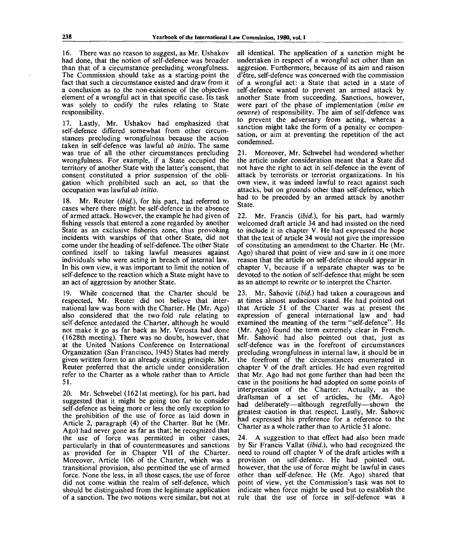16. There was no reason to suggest, as Mr. Ushakov had done, that the notion of self-defence was broader than that of a circumstance precluding wrongfulness. The Commission should take as a starting-point the fact that such a circumstance existed and draw from it a conclusion as to the non-existence of the objective element of a wrongful act in that specific case. Its task was solely to codify the rules relating to State responsibility.

17. Lastly, Mr. Ushakov had emphasized that self-defence differed somewhat from other circumstances precluding wrongfulness because the action taken in self-defence was lawful *ab initio.* The same was true of all the other circumstances precluding wrongfulness. For example, if a State occupied the territory of another State with the latter's consent, that consent constituted a prior suspension of the obligation which prohibited such an act, so that the occupation was lawful *ab initio.*

18. Mr. Reuter *(ibid.),* for his part, had referred to cases where there might be self-defence in the absence of armed attack. However, the example he had given of fishing vessels that entered a zone regarded by another State as an exclusive fisheries zone, thus provoking incidents with warships of that other State, did not come under the heading of self-defence. The other State confined itself to taking lawful measures against individuals who were acting in breach of internal law. In his own view, it was important to limit the notion of self-defence to the reaction which a State might have to an act of aggression by another State.

19. While concerned that the Charter should be respected, Mr. Reuter did not believe that international law was born with the Charter. He (Mr. Ago) also considered that the two-fold rule relating to self-defence antedated the Charter, although he would not make it go as far back as Mr. Verosta had done (1628th meeting). There was no doubt, however, that at the United Nations Conference on International Organization (San Francisco, 1945) States had merely given written form to an already existing principle. Mr. Reuter preferred that the article under consideration refer to the Charter as a whole rather than to Article 51.

20. Mr. Schwebel (1621st meeting), for his part, had suggested that it might be going too far to consider self-defence as being more or less the only exception to the prohibition of the use of force as laid down in Article 2, paragraph (4) of the Charter. But he (Mr. Ago) had never gone as far as that; he recognized that the use of force was permitted in other cases, particularly in that of countermeasures and sanctions as provided for in Chapter VII of the Charter. Moreover, Article 106 of the Charter, which was a transitional provision, also permitted the use of armed force. None the less, in all those cases, the use of force did not come within the realm of self-defence, which should be distinguished from the legitimate application of a sanction. The two notions were similar, but not at

all identical. The application of a sanction might be undertaken in respect of a wrongful act other than an aggresion. Furthermore, because of its aim and raison d'etre, self-defence was concerned with the commission of a wrongful act: a State that acted in a state of self-defence wanted to prevent an armed attack by another State from succeeding. Sanctions, however, were part of the phase of implementation *(mise en oeuvre)* of responsibility. The aim of self-defence was to prevent the adversary from acting, whereas a sanction might take the form of a penalty or compensation, or aim at preventing the repetition of the act condemned.

21. Moreover, Mr. Schwebel had wondered whether the article under consideration meant that a State did not have the right to act in self-defence in the event of attack by terrorists or terrorist organizations. In his own view, it was indeed lawful to react against such attacks, but on grounds other than self-defence, which had to be preceded by an armed attack by another State.

22. Mr. Francis *(ibid.),* for his part, had warmly welcomed draft article 34 and had insisted on the need to include it in chapter V. He had expressed the hope that the text of article 34 would not give the impression of constituting an amendment to the Charter. He (Mr. Ago) shared that point of view and saw in it one more reason that the article on self-defence should appear in chapter V, because if a separate chapter was to be devoted to the notion of self-defence that might be seen as an attempt to rewrite or to interpret the Charter.

23. Mr. Sahovic *(ibid.)* had taken a courageous and at times almost audacious stand. He had pointed out that Article 51 of the Charter was at present the expression of general international law and had examined the meaning of the term "self-defence". He (Mr. Ago) found the term extremely clear in French. Mr. Sahovic had also pointed out that, just as self-defence was in the forefront of circumstances precluding wrongfulness in internal law, it should be in the forefront of the circumstances enumerated in chapter V of the draft articles. He had even regretted that Mr. Ago had not gone further than had been the case in the positions he had adopted on some points of interpretation of the Charter. Actually, as the draftsman of a set of articles, he (Mr. Ago) had deliberately—although regretfully—shown the greatest caution in that respect. Lastly, Mr. Sahovic had expressed his preference for a reference to the Charter as a whole rather than to Article 51 alone.

24. A suggestion to that effect had also been made by Sir Francis Vallat *(ibid.),* who had recognized the need to round off chapter V of the draft articles with a provision on self-defence. He had pointed out, however, that the use of force might be lawful in cases other than self-defence. He (Mr. Ago) shared that point of view, yet the Commission's task was not to indicate when force might be used but to establish the rule that the use of force in self-defence was a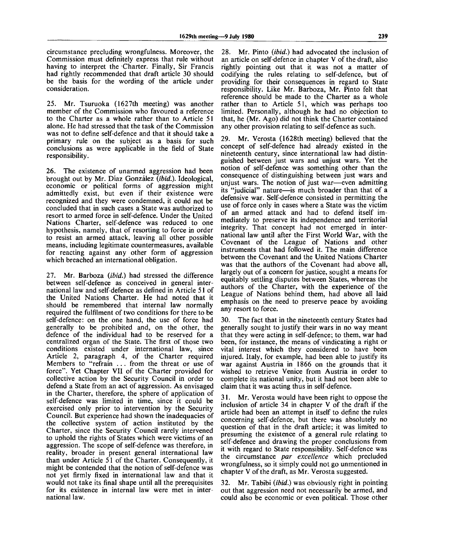circumstance precluding wrongfulness. Moreover, the Commission must definitely express that rule without having to interpret the Charter. Finally, Sir Francis had rightly recommended that draft article 30 should be the basis for the wording of the article under consideration.

25. Mr. Tsuruoka (1627th meeting) was another member of the Commission who favoured a reference to the Charter as a whole rather than to Article 51 alone. He had stressed that the task of the Commission was not to define self-defence and that it should take a primary rule on the subject as a basis for such conclusions as were applicable in the field of State responsibility.

26. The existence of unarmed aggression had been brought out by Mr. Diaz Gonzalez *(ibid.).* Ideological, economic or political forms of aggression might admittedly exist, but even if their existence were recognized and they were condemned, it could not be concluded that in such cases a State was authorized to resort to armed force in self-defence. Under the United Nations Charter, self-defence was reduced to one hypothesis, namely, that of resorting to force in order to resist an armed attack, leaving all other possible means, including legitimate countermeasures, available for reacting against any other form of aggression which breached an international obligation.

27. Mr. Barboza *(ibid.)* had stressed the difference between self-defence as conceived in general international law and self-defence as defined in Article 51 of the United Nations Charter. He had noted that it should be remembered that internal law normally required the fulfilment of two conditions for there to be self-defence: on the one hand, the use of force had generally to be prohibited and, on the other, the defence of the individual had to be reserved for a centralized organ of the State. The first of those two conditions existed under international law, since Article 2, paragraph 4, of the Charter required Members to "refrain .. . from the threat or use of force". Yet Chapter VII of the Charter provided for collective action by the Security Council in order to defend a State from an act of aggression. As envisaged in the Charter, therefore, the sphere of application of self-defence was limited in time, since it could be exercised only prior to intervention by the Security Council. But experience had shown the inadequacies of the collective system of action instituted by the Charter, since the Security Council rarely intervened to uphold the rights of States which were victims of an aggression. The scope of self-defence was therefore, in reality, broader in present general international law than under Article 51 of the Charter. Consequently, it might be contended that the notion of self-defence was not yet firmly fixed in international law and that it would not take its final shape until all the prerequisites for its existence in internal law were met in international law.

28. Mr. Pinto *(ibid.)* had advocated the inclusion of an article on self-defence in chapter V of the draft, also rightly pointing out that it was not a matter of codifying the rules relating to self-defence, but of providing for their consequences in regard to State responsibility. Like Mr. Barboza, Mr. Pinto felt that reference should be made to the Charter as a whole rather than to Article 51, which was perhaps too limited. Personally, although he had no objection to that, he (Mr. Ago) did not think the Charter contained any other provision relating to self-defence as such.

29. Mr. Verosta (1628th meeting) believed that the concept of self-defence had already existed in the nineteenth century, since international law had distinguished between just wars and unjust wars. Yet the notion of self-defence was something other than the consequence of distinguishing between just wars and unjust wars. The notion of just war—even admitting its "judicial" nature—is much broader than that of a defensive war. Self-defence consisted in permitting the use of force only in cases where a State was the victim of an armed attack and had to defend itself immediately to preserve its independence and territorial integrity. That concept had not emerged in international law until after the First World War, with the Covenant of the League of Nations and other instruments that had followed it. The main difference between the Covenant and the United Nations Charter was that the authors of the Covenant had above all, largely out of a concern for justice, sought a means for equitably settling disputes between States, whereas the authors of the Charter, with the experience of the League of Nations behind them, had above all laid emphasis on the need to preserve peace by avoiding any resort to force.

30. The fact that in the nineteenth century States had generally sought to justify their wars in no way meant that they were acting in self-defence; to them, war had been, for instance, the means of vindicating a right or vital interest which they considered to have been injured. Italy, for example, had been able to justify its war against Austria in 1866 on the grounds that it wished to retrieve Venice from Austria in order to complete its national unity, but it had not been able to claim that it was acting thus in self-defence.

31. Mr. Verosta would have been right to oppose the inclusion of article 34 in chapter V of the draft if the article had been an attempt in itself to define the rules concerning self-defence, but there was absolutely no question of that in the draft article; it was limited to presuming the existence of a general rule relating to self-defence and drawing the proper conclusions from it with regard to State responsibility. Self-defence was the circumstance *par excellence* which precluded wrongfulness, so it simply could not go unmentioned in chapter V of the draft, as Mr. Verosta suggested.

32. Mr. Tabibi *(ibid.)* was obviously right in pointing out that aggression need not necessarily be armed, and could also be economic or even political. Those other